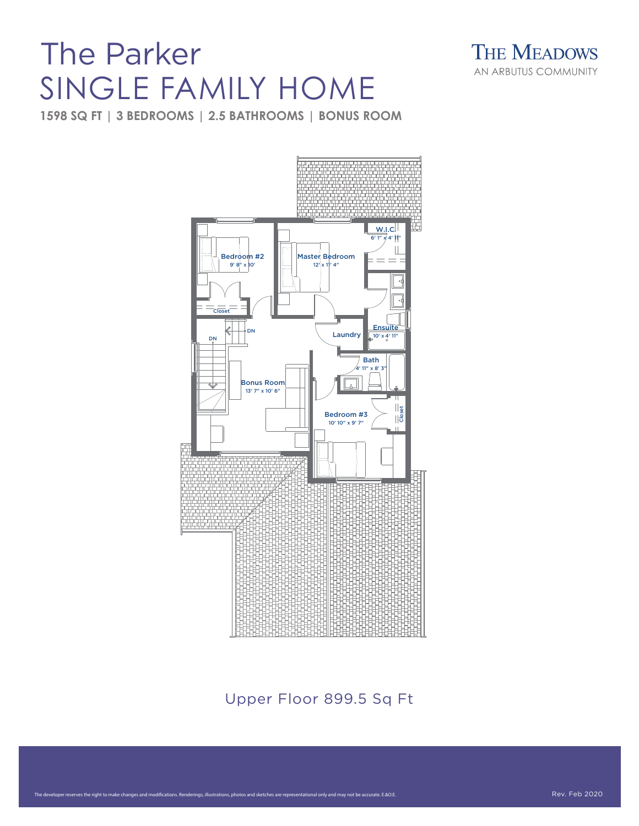## The Parker SINGLE FAMILY HOME

**THE MEADOWS** AN ARBUTUS COMMUNITY

**1598 SQ FT | 3 BEDROOMS | 2.5 BATHROOMS | BONUS ROOM**

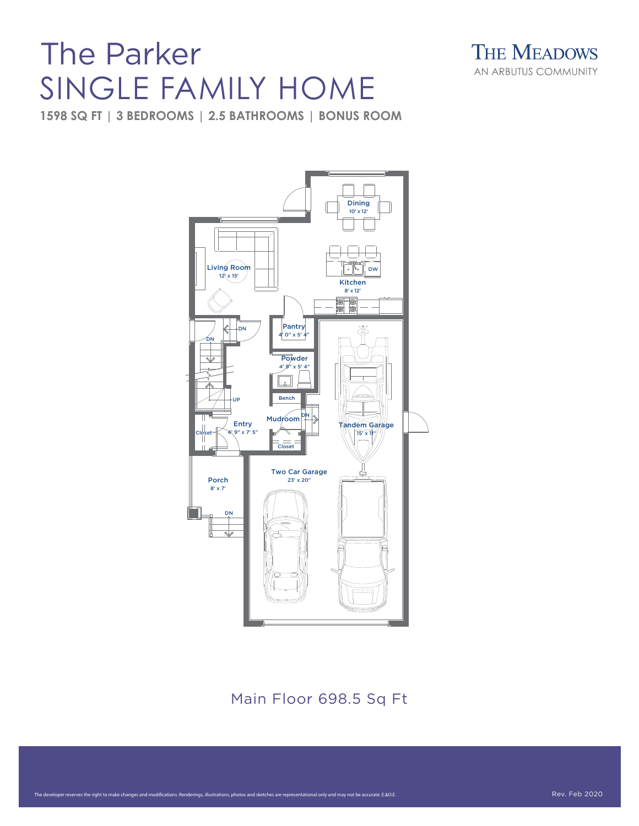## The Parker SINGLE FAMILY HOME



**1598 SQ FT | 3 BEDROOMS | 2.5 BATHROOMS | BONUS ROOM**



Main Floor 698.5 Sq Ft